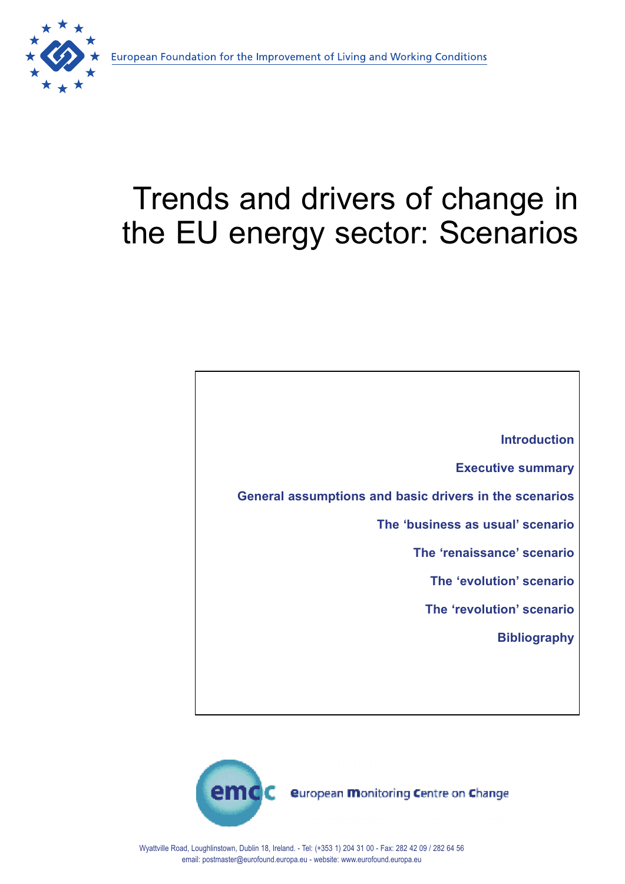

# Trends and drivers of change in the EU energy sector: Scenarios



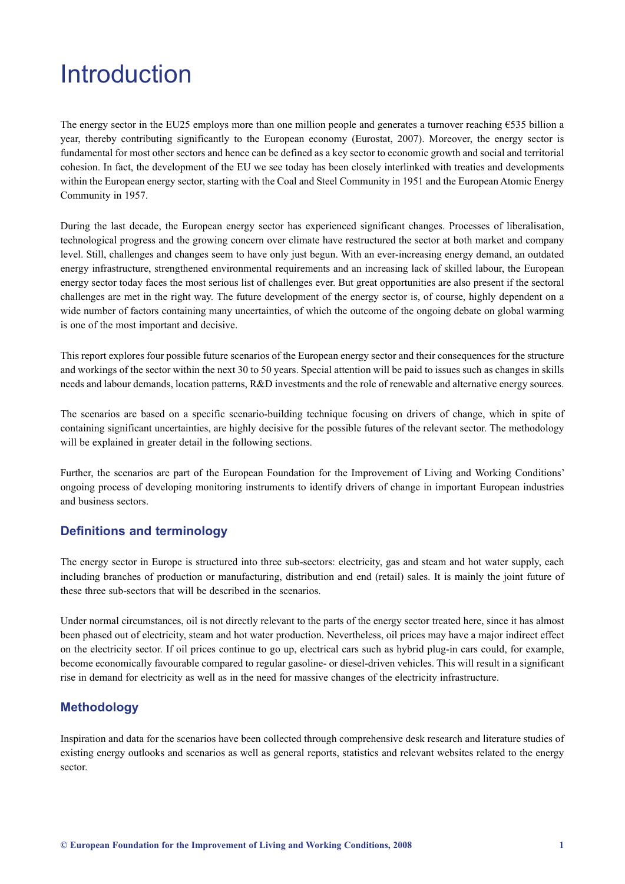# <span id="page-1-0"></span>**Introduction**

The energy sector in the EU25 employs more than one million people and generates a turnover reaching  $6535$  billion a year, thereby contributing significantly to the European economy (Eurostat, 2007). Moreover, the energy sector is fundamental for most other sectors and hence can be defined as a key sector to economic growth and social and territorial cohesion. In fact, the development of the EU we see today has been closely interlinked with treaties and developments within the European energy sector, starting with the Coal and Steel Community in 1951 and the European Atomic Energy Community in 1957.

During the last decade, the European energy sector has experienced significant changes. Processes of liberalisation, technological progress and the growing concern over climate have restructured the sector at both market and company level. Still, challenges and changes seem to have only just begun. With an ever-increasing energy demand, an outdated energy infrastructure, strengthened environmental requirements and an increasing lack of skilled labour, the European energy sector today faces the most serious list of challenges ever. But great opportunities are also present if the sectoral challenges are met in the right way. The future development of the energy sector is, of course, highly dependent on a wide number of factors containing many uncertainties, of which the outcome of the ongoing debate on global warming is one of the most important and decisive.

This report explores four possible future scenarios of the European energy sector and their consequences for the structure and workings of the sector within the next 30 to 50 years. Special attention will be paid to issues such as changes in skills needs and labour demands, location patterns, R&D investments and the role of renewable and alternative energy sources.

The scenarios are based on a specific scenario-building technique focusing on drivers of change, which in spite of containing significant uncertainties, are highly decisive for the possible futures of the relevant sector. The methodology will be explained in greater detail in the following sections.

Further, the scenarios are part of the European Foundation for the Improvement of Living and Working Conditions' ongoing process of developing monitoring instruments to identify drivers of change in important European industries and business sectors.

### **Definitions and terminology**

The energy sector in Europe is structured into three sub-sectors: electricity, gas and steam and hot water supply, each including branches of production or manufacturing, distribution and end (retail) sales. It is mainly the joint future of these three sub-sectors that will be described in the scenarios.

Under normal circumstances, oil is not directly relevant to the parts of the energy sector treated here, since it has almost been phased out of electricity, steam and hot water production. Nevertheless, oil prices may have a major indirect effect on the electricity sector. If oil prices continue to go up, electrical cars such as hybrid plug-in cars could, for example, become economically favourable compared to regular gasoline- or diesel-driven vehicles. This will result in a significant rise in demand for electricity as well as in the need for massive changes of the electricity infrastructure.

### **Methodology**

Inspiration and data for the scenarios have been collected through comprehensive desk research and literature studies of existing energy outlooks and scenarios as well as general reports, statistics and relevant websites related to the energy sector.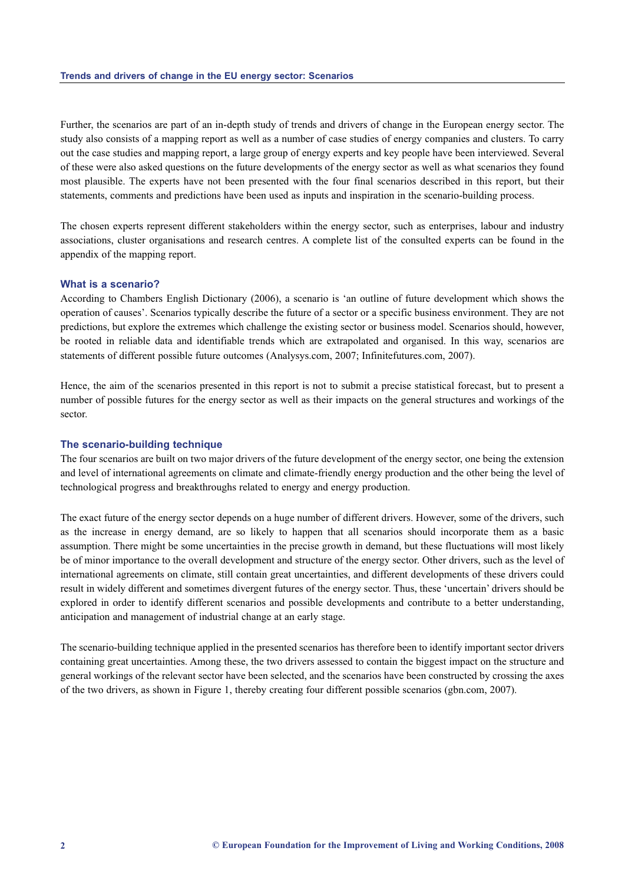Further, the scenarios are part of an in-depth study of trends and drivers of change in the European energy sector. The study also consists of a mapping report as well as a number of case studies of energy companies and clusters. To carry out the case studies and mapping report, a large group of energy experts and key people have been interviewed. Several of these were also asked questions on the future developments of the energy sector as well as what scenarios they found most plausible. The experts have not been presented with the four final scenarios described in this report, but their statements, comments and predictions have been used as inputs and inspiration in the scenario-building process.

The chosen experts represent different stakeholders within the energy sector, such as enterprises, labour and industry associations, cluster organisations and research centres. A complete list of the consulted experts can be found in the appendix of the mapping report.

#### **What is a scenario?**

According to Chambers English Dictionary (2006), a scenario is 'an outline of future development which shows the operation of causes'. Scenarios typically describe the future of a sector or a specific business environment. They are not predictions, but explore the extremes which challenge the existing sector or business model. Scenarios should, however, be rooted in reliable data and identifiable trends which are extrapolated and organised. In this way, scenarios are statements of different possible future outcomes (Analysys.com, 2007; Infinitefutures.com, 2007).

Hence, the aim of the scenarios presented in this report is not to submit a precise statistical forecast, but to present a number of possible futures for the energy sector as well as their impacts on the general structures and workings of the sector.

#### **The scenario-building technique**

The four scenarios are built on two major drivers of the future development of the energy sector, one being the extension and level of international agreements on climate and climate-friendly energy production and the other being the level of technological progress and breakthroughs related to energy and energy production.

The exact future of the energy sector depends on a huge number of different drivers. However, some of the drivers, such as the increase in energy demand, are so likely to happen that all scenarios should incorporate them as a basic assumption. There might be some uncertainties in the precise growth in demand, but these fluctuations will most likely be of minor importance to the overall development and structure of the energy sector. Other drivers, such as the level of international agreements on climate, still contain great uncertainties, and different developments of these drivers could result in widely different and sometimes divergent futures of the energy sector. Thus, these 'uncertain' drivers should be explored in order to identify different scenarios and possible developments and contribute to a better understanding, anticipation and management of industrial change at an early stage.

The scenario-building technique applied in the presented scenarios has therefore been to identify important sector drivers containing great uncertainties. Among these, the two drivers assessed to contain the biggest impact on the structure and general workings of the relevant sector have been selected, and the scenarios have been constructed by crossing the axes of the two drivers, as shown in Figure 1, thereby creating four different possible scenarios (gbn.com, 2007).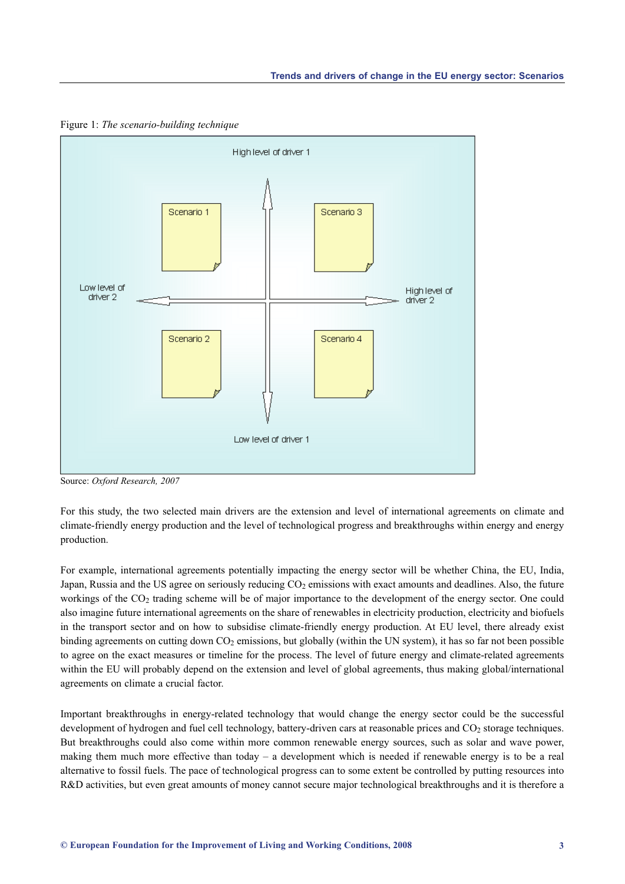

Figure 1: *The scenario-building technique*

Source: *Oxford Research, 2007*

For this study, the two selected main drivers are the extension and level of international agreements on climate and climate-friendly energy production and the level of technological progress and breakthroughs within energy and energy production.

For example, international agreements potentially impacting the energy sector will be whether China, the EU, India, Japan, Russia and the US agree on seriously reducing  $CO<sub>2</sub>$  emissions with exact amounts and deadlines. Also, the future workings of the CO<sub>2</sub> trading scheme will be of major importance to the development of the energy sector. One could also imagine future international agreements on the share of renewables in electricity production, electricity and biofuels in the transport sector and on how to subsidise climate-friendly energy production. At EU level, there already exist binding agreements on cutting down  $CO<sub>2</sub>$  emissions, but globally (within the UN system), it has so far not been possible to agree on the exact measures or timeline for the process. The level of future energy and climate-related agreements within the EU will probably depend on the extension and level of global agreements, thus making global/international agreements on climate a crucial factor.

Important breakthroughs in energy-related technology that would change the energy sector could be the successful development of hydrogen and fuel cell technology, battery-driven cars at reasonable prices and CO<sub>2</sub> storage techniques. But breakthroughs could also come within more common renewable energy sources, such as solar and wave power, making them much more effective than today – a development which is needed if renewable energy is to be a real alternative to fossil fuels. The pace of technological progress can to some extent be controlled by putting resources into R&D activities, but even great amounts of money cannot secure major technological breakthroughs and it is therefore a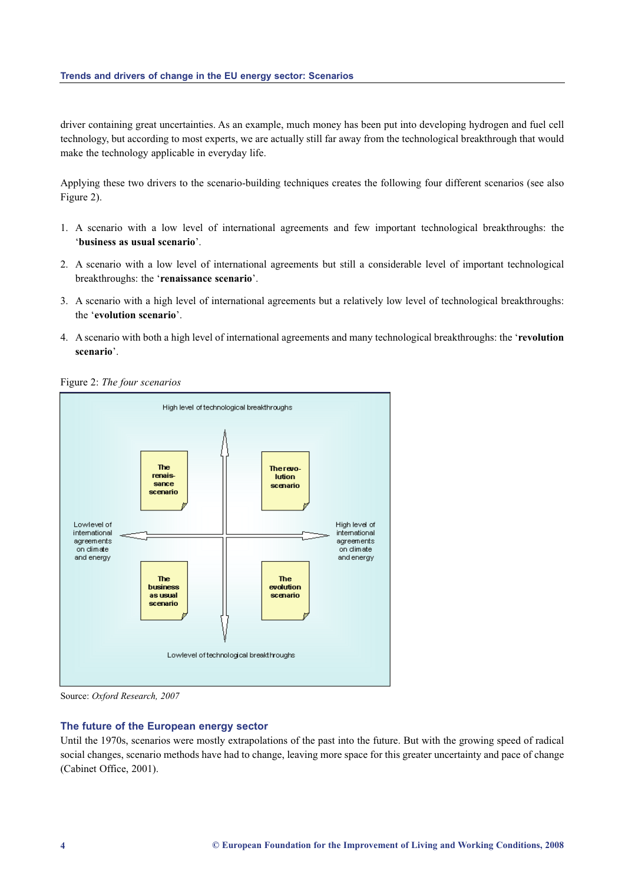driver containing great uncertainties. As an example, much money has been put into developing hydrogen and fuel cell technology, but according to most experts, we are actually still far away from the technological breakthrough that would make the technology applicable in everyday life.

Applying these two drivers to the scenario-building techniques creates the following four different scenarios (see also Figure 2).

- 1. A scenario with a low level of international agreements and few important technological breakthroughs: the '**business as usual scenario**'.
- 2. A scenario with a low level of international agreements but still a considerable level of important technological breakthroughs: the '**renaissance scenario**'.
- 3. A scenario with a high level of international agreements but a relatively low level of technological breakthroughs: the '**evolution scenario**'.
- 4. A scenario with both a high level of international agreements and many technological breakthroughs: the '**revolution scenario**'.

Figure 2: *The four scenarios*



Source: *Oxford Research, 2007*

#### **The future of the European energy sector**

Until the 1970s, scenarios were mostly extrapolations of the past into the future. But with the growing speed of radical social changes, scenario methods have had to change, leaving more space for this greater uncertainty and pace of change (Cabinet Office, 2001).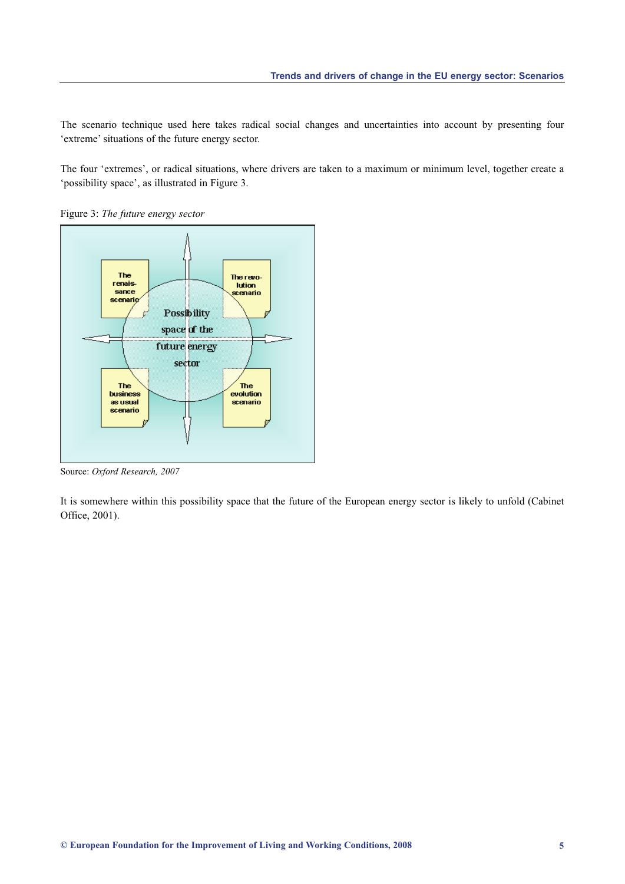The scenario technique used here takes radical social changes and uncertainties into account by presenting four 'extreme' situations of the future energy sector.

The four 'extremes', or radical situations, where drivers are taken to a maximum or minimum level, together create a 'possibility space', as illustrated in Figure 3.

Figure 3: *The future energy sector* 



Source: *Oxford Research, 2007*

It is somewhere within this possibility space that the future of the European energy sector is likely to unfold (Cabinet Office, 2001).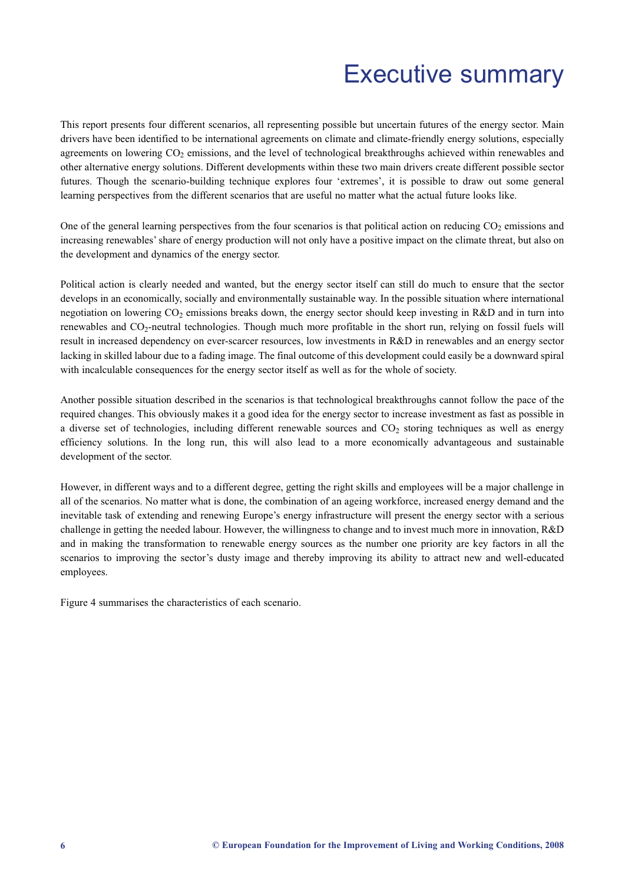# Executive summary

<span id="page-6-0"></span>This report presents four different scenarios, all representing possible but uncertain futures of the energy sector. Main drivers have been identified to be international agreements on climate and climate-friendly energy solutions, especially agreements on lowering  $CO<sub>2</sub>$  emissions, and the level of technological breakthroughs achieved within renewables and other alternative energy solutions. Different developments within these two main drivers create different possible sector futures. Though the scenario-building technique explores four 'extremes', it is possible to draw out some general learning perspectives from the different scenarios that are useful no matter what the actual future looks like.

One of the general learning perspectives from the four scenarios is that political action on reducing  $CO<sub>2</sub>$  emissions and increasing renewables' share of energy production will not only have a positive impact on the climate threat, but also on the development and dynamics of the energy sector.

Political action is clearly needed and wanted, but the energy sector itself can still do much to ensure that the sector develops in an economically, socially and environmentally sustainable way. In the possible situation where international negotiation on lowering CO<sub>2</sub> emissions breaks down, the energy sector should keep investing in R&D and in turn into renewables and CO2-neutral technologies. Though much more profitable in the short run, relying on fossil fuels will result in increased dependency on ever-scarcer resources, low investments in R&D in renewables and an energy sector lacking in skilled labour due to a fading image. The final outcome of this development could easily be a downward spiral with incalculable consequences for the energy sector itself as well as for the whole of society.

Another possible situation described in the scenarios is that technological breakthroughs cannot follow the pace of the required changes. This obviously makes it a good idea for the energy sector to increase investment as fast as possible in a diverse set of technologies, including different renewable sources and CO<sub>2</sub> storing techniques as well as energy efficiency solutions. In the long run, this will also lead to a more economically advantageous and sustainable development of the sector.

However, in different ways and to a different degree, getting the right skills and employees will be a major challenge in all of the scenarios. No matter what is done, the combination of an ageing workforce, increased energy demand and the inevitable task of extending and renewing Europe's energy infrastructure will present the energy sector with a serious challenge in getting the needed labour. However, the willingness to change and to invest much more in innovation, R&D and in making the transformation to renewable energy sources as the number one priority are key factors in all the scenarios to improving the sector's dusty image and thereby improving its ability to attract new and well-educated employees.

Figure 4 summarises the characteristics of each scenario.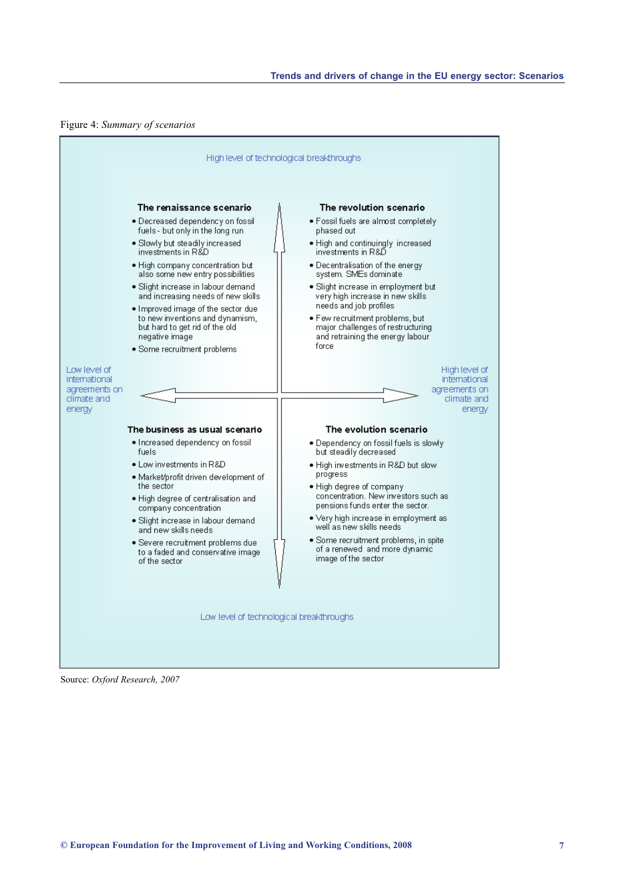

Source: *Oxford Research, 2007*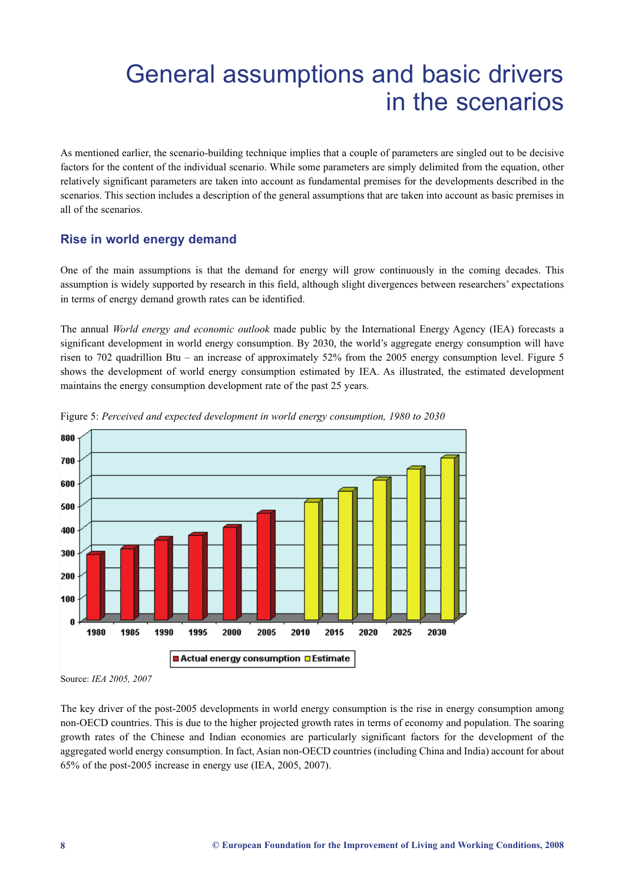# <span id="page-8-0"></span>General assumptions and basic drivers in the scenarios

As mentioned earlier, the scenario-building technique implies that a couple of parameters are singled out to be decisive factors for the content of the individual scenario. While some parameters are simply delimited from the equation, other relatively significant parameters are taken into account as fundamental premises for the developments described in the scenarios. This section includes a description of the general assumptions that are taken into account as basic premises in all of the scenarios.

# **Rise in world energy demand**

One of the main assumptions is that the demand for energy will grow continuously in the coming decades. This assumption is widely supported by research in this field, although slight divergences between researchers' expectations in terms of energy demand growth rates can be identified.

The annual *World energy and economic outlook* made public by the International Energy Agency (IEA) forecasts a significant development in world energy consumption. By 2030, the world's aggregate energy consumption will have risen to 702 quadrillion Btu – an increase of approximately 52% from the 2005 energy consumption level. Figure 5 shows the development of world energy consumption estimated by IEA. As illustrated, the estimated development maintains the energy consumption development rate of the past 25 years.



Figure 5: *Perceived and expected development in world energy consumption, 1980 to 2030*

Source: *IEA 2005, 2007*

The key driver of the post-2005 developments in world energy consumption is the rise in energy consumption among non-OECD countries. This is due to the higher projected growth rates in terms of economy and population. The soaring growth rates of the Chinese and Indian economies are particularly significant factors for the development of the aggregated world energy consumption. In fact, Asian non-OECD countries (including China and India) account for about 65% of the post-2005 increase in energy use (IEA, 2005, 2007).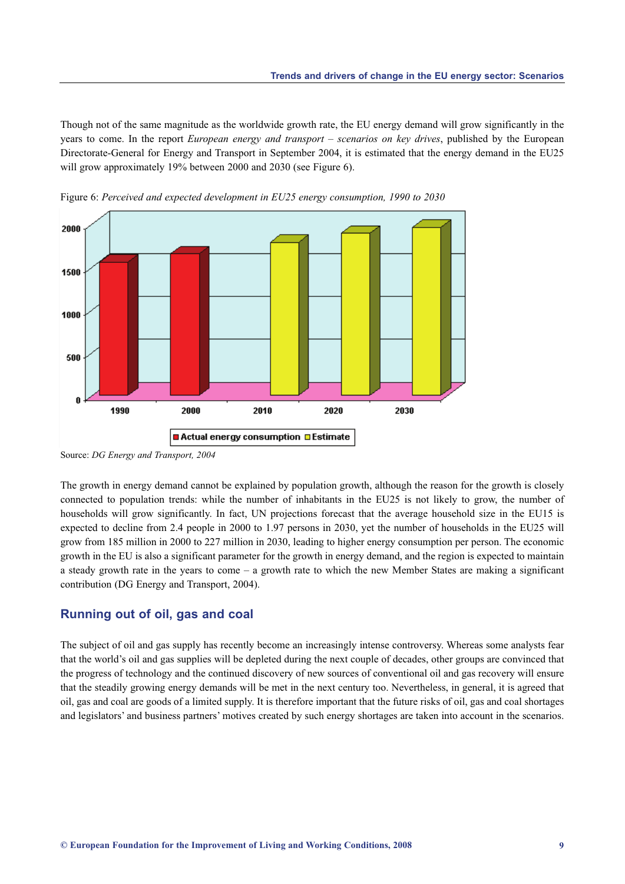Though not of the same magnitude as the worldwide growth rate, the EU energy demand will grow significantly in the years to come. In the report *European energy and transport – scenarios on key drives*, published by the European Directorate-General for Energy and Transport in September 2004, it is estimated that the energy demand in the EU25 will grow approximately 19% between 2000 and 2030 (see Figure 6).





Source: *DG Energy and Transport, 2004*

The growth in energy demand cannot be explained by population growth, although the reason for the growth is closely connected to population trends: while the number of inhabitants in the EU25 is not likely to grow, the number of households will grow significantly. In fact, UN projections forecast that the average household size in the EU15 is expected to decline from 2.4 people in 2000 to 1.97 persons in 2030, yet the number of households in the EU25 will grow from 185 million in 2000 to 227 million in 2030, leading to higher energy consumption per person. The economic growth in the EU is also a significant parameter for the growth in energy demand, and the region is expected to maintain a steady growth rate in the years to come – a growth rate to which the new Member States are making a significant contribution (DG Energy and Transport, 2004).

# **Running out of oil, gas and coal**

The subject of oil and gas supply has recently become an increasingly intense controversy. Whereas some analysts fear that the world's oil and gas supplies will be depleted during the next couple of decades, other groups are convinced that the progress of technology and the continued discovery of new sources of conventional oil and gas recovery will ensure that the steadily growing energy demands will be met in the next century too. Nevertheless, in general, it is agreed that oil, gas and coal are goods of a limited supply. It is therefore important that the future risks of oil, gas and coal shortages and legislators' and business partners' motives created by such energy shortages are taken into account in the scenarios.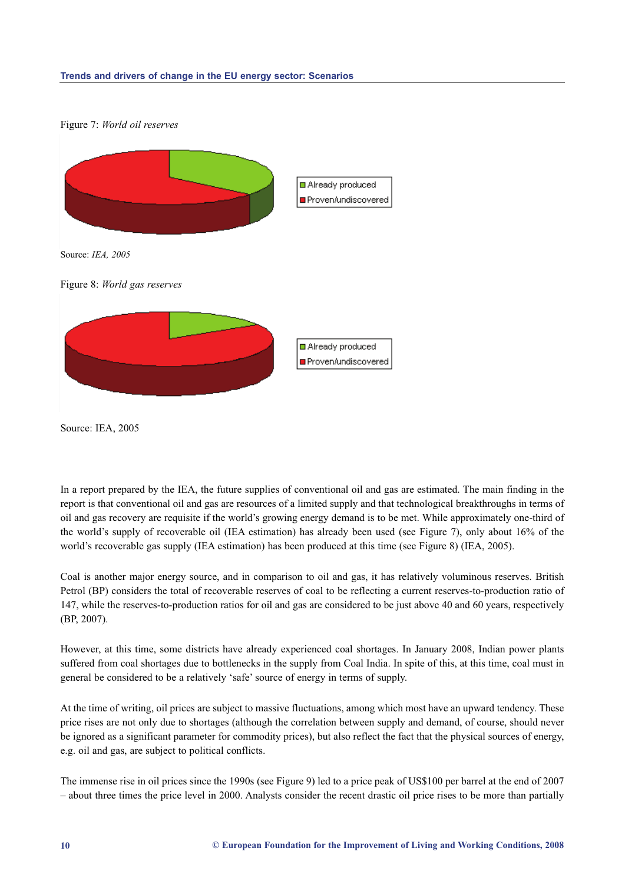#### **Trends and drivers of change in the EU energy sector: Scenarios**

#### Figure 7: *World oil reserves*



Source: IEA, 2005

In a report prepared by the IEA, the future supplies of conventional oil and gas are estimated. The main finding in the report is that conventional oil and gas are resources of a limited supply and that technological breakthroughs in terms of oil and gas recovery are requisite if the world's growing energy demand is to be met. While approximately one-third of the world's supply of recoverable oil (IEA estimation) has already been used (see Figure 7), only about 16% of the world's recoverable gas supply (IEA estimation) has been produced at this time (see Figure 8) (IEA, 2005).

Coal is another major energy source, and in comparison to oil and gas, it has relatively voluminous reserves. British Petrol (BP) considers the total of recoverable reserves of coal to be reflecting a current reserves-to-production ratio of 147, while the reserves-to-production ratios for oil and gas are considered to be just above 40 and 60 years, respectively (BP, 2007).

However, at this time, some districts have already experienced coal shortages. In January 2008, Indian power plants suffered from coal shortages due to bottlenecks in the supply from Coal India. In spite of this, at this time, coal must in general be considered to be a relatively 'safe' source of energy in terms of supply.

At the time of writing, oil prices are subject to massive fluctuations, among which most have an upward tendency. These price rises are not only due to shortages (although the correlation between supply and demand, of course, should never be ignored as a significant parameter for commodity prices), but also reflect the fact that the physical sources of energy, e.g. oil and gas, are subject to political conflicts.

The immense rise in oil prices since the 1990s (see Figure 9) led to a price peak of US\$100 per barrel at the end of 2007 – about three times the price level in 2000. Analysts consider the recent drastic oil price rises to be more than partially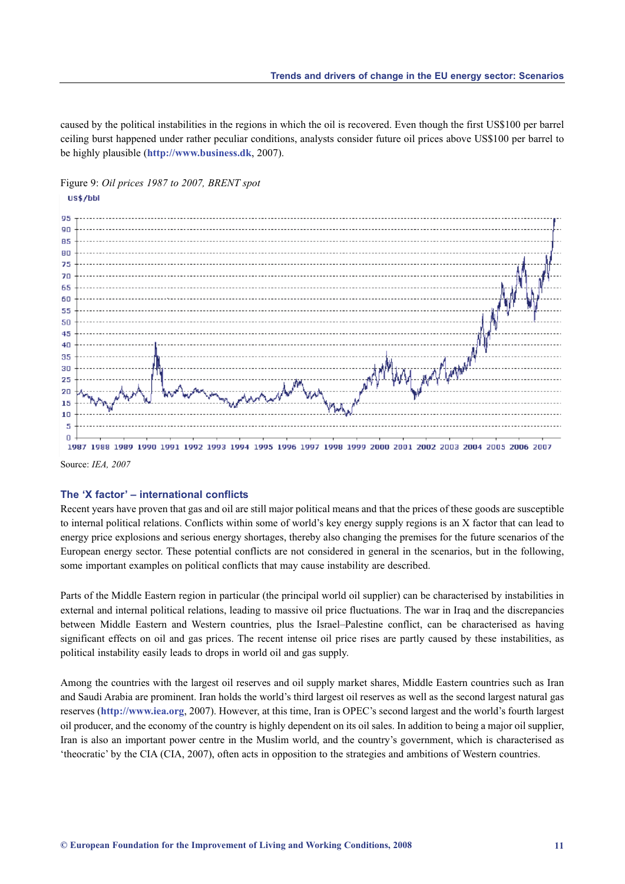caused by the political instabilities in the regions in which the oil is recovered. Even though the first US\$100 per barrel ceiling burst happened under rather peculiar conditions, analysts consider future oil prices above US\$100 per barrel to be highly plausible (**http://www.business.dk**, 2007).





1987 1988 1989 1990 1991 1992 1993 1994 1995 1996 1997 1998 1999 2000 2001 2002 2003 2004 2005 2006 2007 Source: *IEA, 2007*

#### **The 'X factor' – international conflicts**

Recent years have proven that gas and oil are still major political means and that the prices of these goods are susceptible to internal political relations. Conflicts within some of world's key energy supply regions is an X factor that can lead to energy price explosions and serious energy shortages, thereby also changing the premises for the future scenarios of the European energy sector. These potential conflicts are not considered in general in the scenarios, but in the following, some important examples on political conflicts that may cause instability are described.

Parts of the Middle Eastern region in particular (the principal world oil supplier) can be characterised by instabilities in external and internal political relations, leading to massive oil price fluctuations. The war in Iraq and the discrepancies between Middle Eastern and Western countries, plus the Israel–Palestine conflict, can be characterised as having significant effects on oil and gas prices. The recent intense oil price rises are partly caused by these instabilities, as political instability easily leads to drops in world oil and gas supply.

Among the countries with the largest oil reserves and oil supply market shares, Middle Eastern countries such as Iran and Saudi Arabia are prominent. Iran holds the world's third largest oil reserves as well as the second largest natural gas reserves (**http://www.iea.org**, 2007). However, at this time, Iran is OPEC's second largest and the world's fourth largest oil producer, and the economy of the country is highly dependent on its oil sales. In addition to being a major oil supplier, Iran is also an important power centre in the Muslim world, and the country's government, which is characterised as 'theocratic' by the CIA (CIA, 2007), often acts in opposition to the strategies and ambitions of Western countries.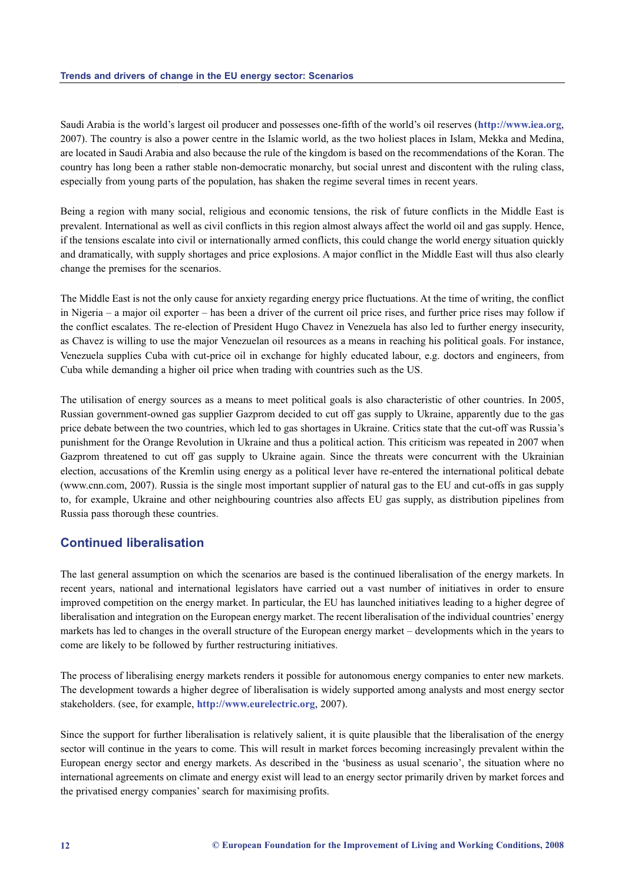Saudi Arabia is the world's largest oil producer and possesses one-fifth of the world's oil reserves (**http://www.iea.org**, 2007). The country is also a power centre in the Islamic world, as the two holiest places in Islam, Mekka and Medina, are located in Saudi Arabia and also because the rule of the kingdom is based on the recommendations of the Koran. The country has long been a rather stable non-democratic monarchy, but social unrest and discontent with the ruling class, especially from young parts of the population, has shaken the regime several times in recent years.

Being a region with many social, religious and economic tensions, the risk of future conflicts in the Middle East is prevalent. International as well as civil conflicts in this region almost always affect the world oil and gas supply. Hence, if the tensions escalate into civil or internationally armed conflicts, this could change the world energy situation quickly and dramatically, with supply shortages and price explosions. A major conflict in the Middle East will thus also clearly change the premises for the scenarios.

The Middle East is not the only cause for anxiety regarding energy price fluctuations. At the time of writing, the conflict in Nigeria – a major oil exporter – has been a driver of the current oil price rises, and further price rises may follow if the conflict escalates. The re-election of President Hugo Chavez in Venezuela has also led to further energy insecurity, as Chavez is willing to use the major Venezuelan oil resources as a means in reaching his political goals. For instance, Venezuela supplies Cuba with cut-price oil in exchange for highly educated labour, e.g. doctors and engineers, from Cuba while demanding a higher oil price when trading with countries such as the US.

The utilisation of energy sources as a means to meet political goals is also characteristic of other countries. In 2005, Russian government-owned gas supplier Gazprom decided to cut off gas supply to Ukraine, apparently due to the gas price debate between the two countries, which led to gas shortages in Ukraine. Critics state that the cut-off was Russia's punishment for the Orange Revolution in Ukraine and thus a political action. This criticism was repeated in 2007 when Gazprom threatened to cut off gas supply to Ukraine again. Since the threats were concurrent with the Ukrainian election, accusations of the Kremlin using energy as a political lever have re-entered the international political debate (www.cnn.com, 2007). Russia is the single most important supplier of natural gas to the EU and cut-offs in gas supply to, for example, Ukraine and other neighbouring countries also affects EU gas supply, as distribution pipelines from Russia pass thorough these countries.

### **[Continued l](http://www.cnn.com)iberalisation**

The last general assumption on which the scenarios are based is the continued liberalisation of the energy markets. In recent years, national and international legislators have carried out a vast number of initiatives in order to ensure improved competition on the energy market. In particular, the EU has launched initiatives leading to a higher degree of liberalisation and integration on the European energy market. The recent liberalisation of the individual countries' energy markets has led to changes in the overall structure of the European energy market – developments which in the years to come are likely to be followed by further restructuring initiatives.

The process of liberalising energy markets renders it possible for autonomous energy companies to enter new markets. The development towards a higher degree of liberalisation is widely supported among analysts and most energy sector stakeholders. (see, for example, **http://www.eurelectric.org**, 2007).

Since the support for further liberalisation is relatively salient, it is quite plausible that the liberalisation of the energy sector will continue in the years to come. This will result in market forces becoming increasingly prevalent within the European energy sector and en[ergy markets. As described in](http://www.eurelectric.org) the 'business as usual scenario', the situation where no international agreements on climate and energy exist will lead to an energy sector primarily driven by market forces and the privatised energy companies' search for maximising profits.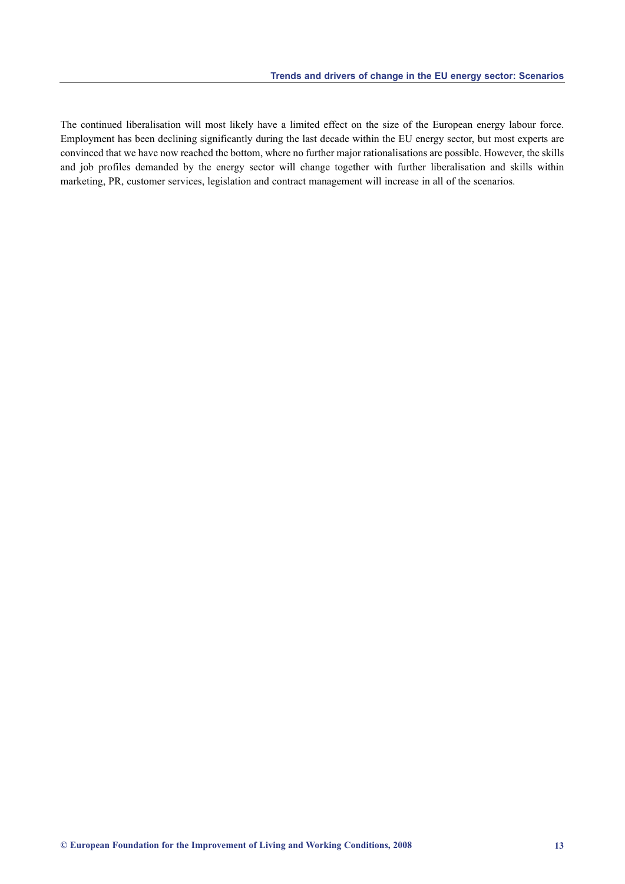The continued liberalisation will most likely have a limited effect on the size of the European energy labour force. Employment has been declining significantly during the last decade within the EU energy sector, but most experts are convinced that we have now reached the bottom, where no further major rationalisations are possible. However, the skills and job profiles demanded by the energy sector will change together with further liberalisation and skills within marketing, PR, customer services, legislation and contract management will increase in all of the scenarios.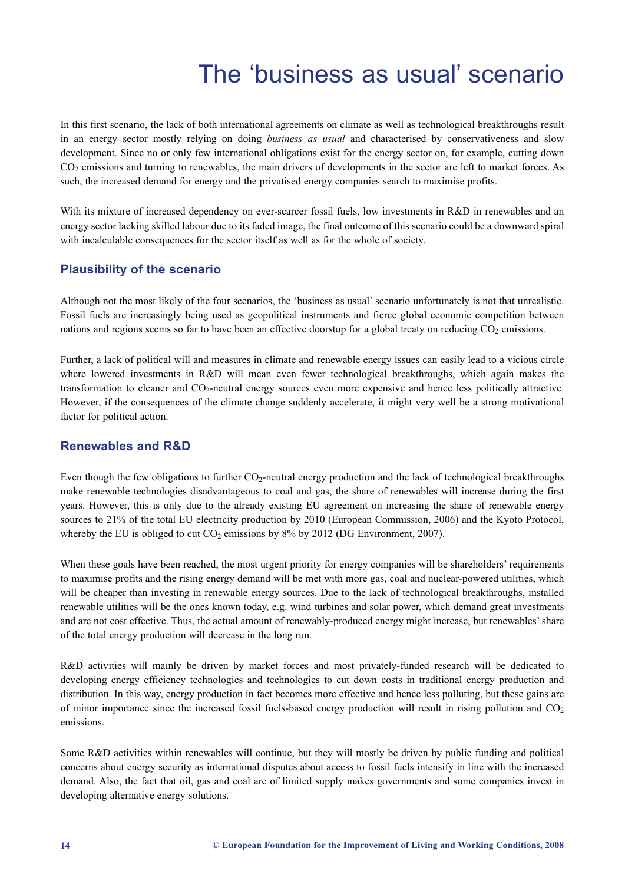# The 'business as usual' scenario

<span id="page-14-0"></span>In this first scenario, the lack of both international agreements on climate as well as technological breakthroughs result in an energy sector mostly relying on doing *business as usual* and characterised by conservativeness and slow development. Since no or only few international obligations exist for the energy sector on, for example, cutting down  $CO<sub>2</sub>$  emissions and turning to renewables, the main drivers of developments in the sector are left to market forces. As such, the increased demand for energy and the privatised energy companies search to maximise profits.

With its mixture of increased dependency on ever-scarcer fossil fuels, low investments in R&D in renewables and an energy sector lacking skilled labour due to its faded image, the final outcome of this scenario could be a downward spiral with incalculable consequences for the sector itself as well as for the whole of society.

### **Plausibility of the scenario**

Although not the most likely of the four scenarios, the 'business as usual' scenario unfortunately is not that unrealistic. Fossil fuels are increasingly being used as geopolitical instruments and fierce global economic competition between nations and regions seems so far to have been an effective doorstop for a global treaty on reducing  $CO<sub>2</sub>$  emissions.

Further, a lack of political will and measures in climate and renewable energy issues can easily lead to a vicious circle where lowered investments in R&D will mean even fewer technological breakthroughs, which again makes the transformation to cleaner and CO<sub>2</sub>-neutral energy sources even more expensive and hence less politically attractive. However, if the consequences of the climate change suddenly accelerate, it might very well be a strong motivational factor for political action.

### **Renewables and R&D**

Even though the few obligations to further  $CO<sub>2</sub>$ -neutral energy production and the lack of technological breakthroughs make renewable technologies disadvantageous to coal and gas, the share of renewables will increase during the first years. However, this is only due to the already existing EU agreement on increasing the share of renewable energy sources to 21% of the total EU electricity production by 2010 (European Commission, 2006) and the Kyoto Protocol, whereby the EU is obliged to cut  $CO<sub>2</sub>$  emissions by 8% by 2012 (DG Environment, 2007).

When these goals have been reached, the most urgent priority for energy companies will be shareholders' requirements to maximise profits and the rising energy demand will be met with more gas, coal and nuclear-powered utilities, which will be cheaper than investing in renewable energy sources. Due to the lack of technological breakthroughs, installed renewable utilities will be the ones known today, e.g. wind turbines and solar power, which demand great investments and are not cost effective. Thus, the actual amount of renewably-produced energy might increase, but renewables' share of the total energy production will decrease in the long run.

R&D activities will mainly be driven by market forces and most privately-funded research will be dedicated to developing energy efficiency technologies and technologies to cut down costs in traditional energy production and distribution. In this way, energy production in fact becomes more effective and hence less polluting, but these gains are of minor importance since the increased fossil fuels-based energy production will result in rising pollution and  $CO<sub>2</sub>$ emissions.

Some R&D activities within renewables will continue, but they will mostly be driven by public funding and political concerns about energy security as international disputes about access to fossil fuels intensify in line with the increased demand. Also, the fact that oil, gas and coal are of limited supply makes governments and some companies invest in developing alternative energy solutions.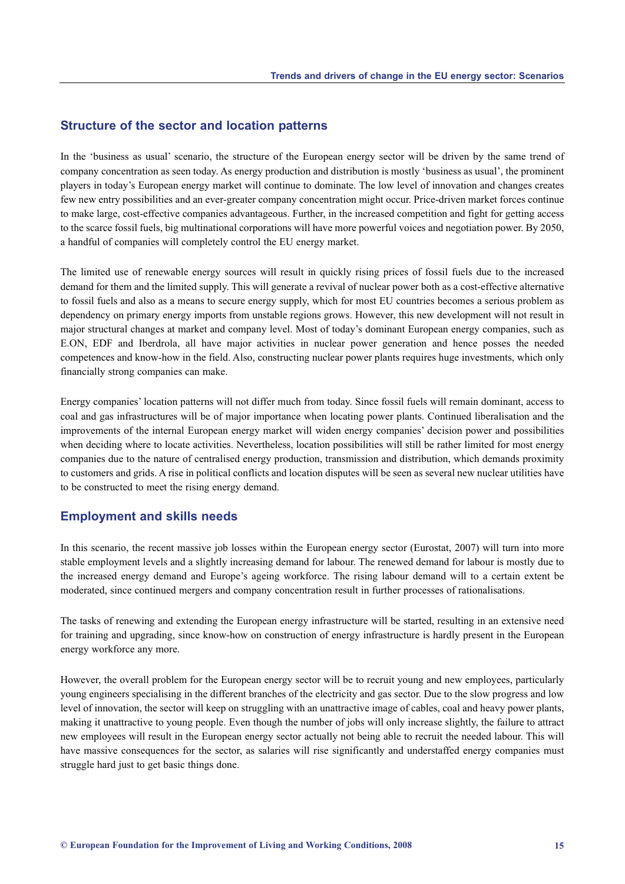#### **Structure of the sector and location patterns**

In the 'business as usual' scenario, the structure of the European energy sector will be driven by the same trend of company concentration as seen today. As energy production and distribution is mostly 'business as usual', the prominent players in today's European energy market will continue to dominate. The low level of innovation and changes creates few new entry possibilities and an ever-greater company concentration might occur. Price-driven market forces continue to make large, cost-effective companies advantageous. Further, in the increased competition and fight for getting access to the scarce fossil fuels, big multinational corporations will have more powerful voices and negotiation power. By 2050, a handful of companies will completely control the EU energy market.

The limited use of renewable energy sources will result in quickly rising prices of fossil fuels due to the increased demand for them and the limited supply. This will generate a revival of nuclear power both as a cost-effective alternative to fossil fuels and also as a means to secure energy supply, which for most EU countries becomes a serious problem as dependency on primary energy imports from unstable regions grows. However, this new development will not result in major structural changes at market and company level. Most of today's dominant European energy companies, such as E.ON, EDF and Iberdrola, all have major activities in nuclear power generation and hence posses the needed competences and know-how in the field. Also, constructing nuclear power plants requires huge investments, which only financially strong companies can make.

Energy companies' location patterns will not differ much from today. Since fossil fuels will remain dominant, access to coal and gas infrastructures will be of major importance when locating power plants. Continued liberalisation and the improvements of the internal European energy market will widen energy companies' decision power and possibilities when deciding where to locate activities. Nevertheless, location possibilities will still be rather limited for most energy companies due to the nature of centralised energy production, transmission and distribution, which demands proximity to customers and grids. A rise in political conflicts and location disputes will be seen as several new nuclear utilities have to be constructed to meet the rising energy demand.

#### **Employment and skills needs**

In this scenario, the recent massive job losses within the European energy sector (Eurostat, 2007) will turn into more stable employment levels and a slightly increasing demand for labour. The renewed demand for labour is mostly due to the increased energy demand and Europe's ageing workforce. The rising labour demand will to a certain extent be moderated, since continued mergers and company concentration result in further processes of rationalisations.

The tasks of renewing and extending the European energy infrastructure will be started, resulting in an extensive need for training and upgrading, since know-how on construction of energy infrastructure is hardly present in the European energy workforce any more.

However, the overall problem for the European energy sector will be to recruit young and new employees, particularly young engineers specialising in the different branches of the electricity and gas sector. Due to the slow progress and low level of innovation, the sector will keep on struggling with an unattractive image of cables, coal and heavy power plants, making it unattractive to young people. Even though the number of jobs will only increase slightly, the failure to attract new employees will result in the European energy sector actually not being able to recruit the needed labour. This will have massive consequences for the sector, as salaries will rise significantly and understaffed energy companies must struggle hard just to get basic things done.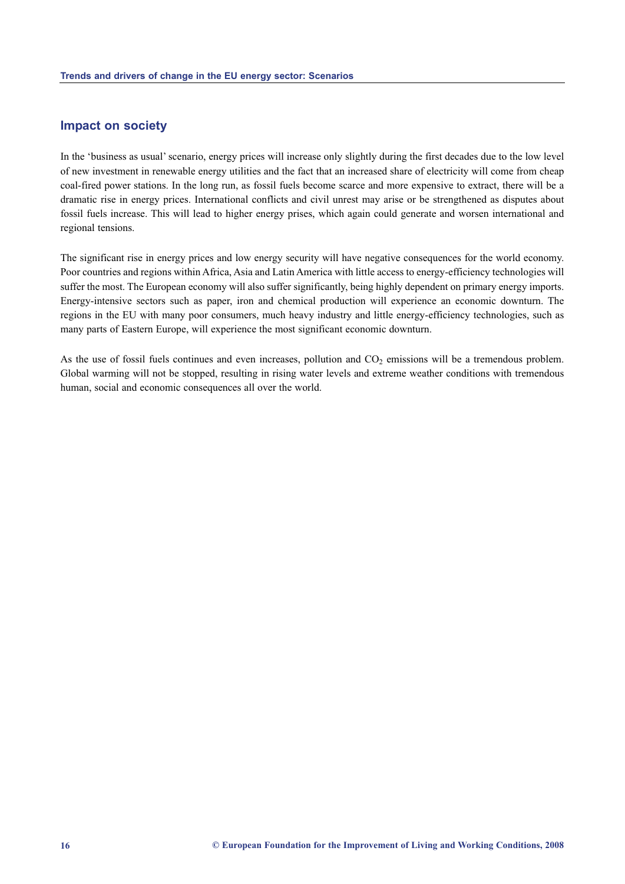#### **Impact on society**

In the 'business as usual' scenario, energy prices will increase only slightly during the first decades due to the low level of new investment in renewable energy utilities and the fact that an increased share of electricity will come from cheap coal-fired power stations. In the long run, as fossil fuels become scarce and more expensive to extract, there will be a dramatic rise in energy prices. International conflicts and civil unrest may arise or be strengthened as disputes about fossil fuels increase. This will lead to higher energy prises, which again could generate and worsen international and regional tensions.

The significant rise in energy prices and low energy security will have negative consequences for the world economy. Poor countries and regions within Africa, Asia and Latin America with little access to energy-efficiency technologies will suffer the most. The European economy will also suffer significantly, being highly dependent on primary energy imports. Energy-intensive sectors such as paper, iron and chemical production will experience an economic downturn. The regions in the EU with many poor consumers, much heavy industry and little energy-efficiency technologies, such as many parts of Eastern Europe, will experience the most significant economic downturn.

As the use of fossil fuels continues and even increases, pollution and  $CO<sub>2</sub>$  emissions will be a tremendous problem. Global warming will not be stopped, resulting in rising water levels and extreme weather conditions with tremendous human, social and economic consequences all over the world.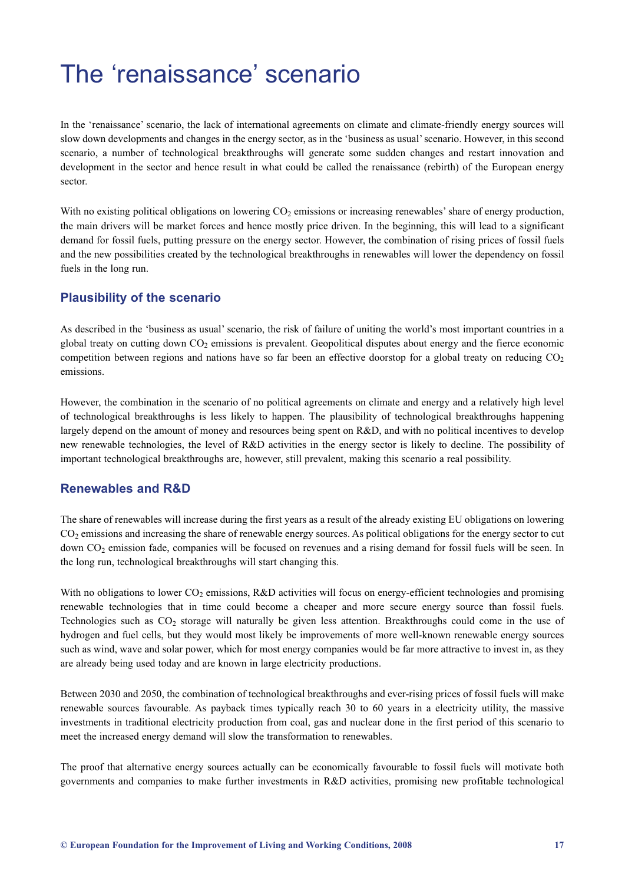# <span id="page-17-0"></span>The 'renaissance' scenario

In the 'renaissance' scenario, the lack of international agreements on climate and climate-friendly energy sources will slow down developments and changes in the energy sector, as in the 'business as usual' scenario. However, in this second scenario, a number of technological breakthroughs will generate some sudden changes and restart innovation and development in the sector and hence result in what could be called the renaissance (rebirth) of the European energy sector.

With no existing political obligations on lowering  $CO<sub>2</sub>$  emissions or increasing renewables' share of energy production, the main drivers will be market forces and hence mostly price driven. In the beginning, this will lead to a significant demand for fossil fuels, putting pressure on the energy sector. However, the combination of rising prices of fossil fuels and the new possibilities created by the technological breakthroughs in renewables will lower the dependency on fossil fuels in the long run.

### **Plausibility of the scenario**

As described in the 'business as usual' scenario, the risk of failure of uniting the world's most important countries in a global treaty on cutting down  $CO<sub>2</sub>$  emissions is prevalent. Geopolitical disputes about energy and the fierce economic competition between regions and nations have so far been an effective doorstop for a global treaty on reducing  $CO<sub>2</sub>$ emissions.

However, the combination in the scenario of no political agreements on climate and energy and a relatively high level of technological breakthroughs is less likely to happen. The plausibility of technological breakthroughs happening largely depend on the amount of money and resources being spent on R&D, and with no political incentives to develop new renewable technologies, the level of R&D activities in the energy sector is likely to decline. The possibility of important technological breakthroughs are, however, still prevalent, making this scenario a real possibility.

#### **Renewables and R&D**

The share of renewables will increase during the first years as a result of the already existing EU obligations on lowering  $CO<sub>2</sub>$  emissions and increasing the share of renewable energy sources. As political obligations for the energy sector to cut down CO<sub>2</sub> emission fade, companies will be focused on revenues and a rising demand for fossil fuels will be seen. In the long run, technological breakthroughs will start changing this.

With no obligations to lower CO<sub>2</sub> emissions, R&D activities will focus on energy-efficient technologies and promising renewable technologies that in time could become a cheaper and more secure energy source than fossil fuels. Technologies such as  $CO<sub>2</sub>$  storage will naturally be given less attention. Breakthroughs could come in the use of hydrogen and fuel cells, but they would most likely be improvements of more well-known renewable energy sources such as wind, wave and solar power, which for most energy companies would be far more attractive to invest in, as they are already being used today and are known in large electricity productions.

Between 2030 and 2050, the combination of technological breakthroughs and ever-rising prices of fossil fuels will make renewable sources favourable. As payback times typically reach 30 to 60 years in a electricity utility, the massive investments in traditional electricity production from coal, gas and nuclear done in the first period of this scenario to meet the increased energy demand will slow the transformation to renewables.

The proof that alternative energy sources actually can be economically favourable to fossil fuels will motivate both governments and companies to make further investments in R&D activities, promising new profitable technological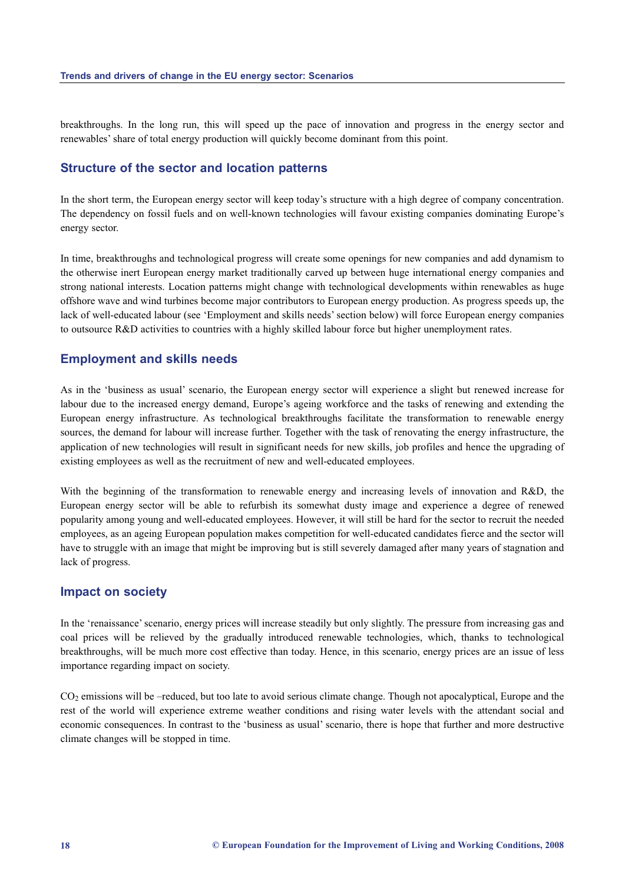breakthroughs. In the long run, this will speed up the pace of innovation and progress in the energy sector and renewables' share of total energy production will quickly become dominant from this point.

#### **Structure of the sector and location patterns**

In the short term, the European energy sector will keep today's structure with a high degree of company concentration. The dependency on fossil fuels and on well-known technologies will favour existing companies dominating Europe's energy sector.

In time, breakthroughs and technological progress will create some openings for new companies and add dynamism to the otherwise inert European energy market traditionally carved up between huge international energy companies and strong national interests. Location patterns might change with technological developments within renewables as huge offshore wave and wind turbines become major contributors to European energy production. As progress speeds up, the lack of well-educated labour (see 'Employment and skills needs' section below) will force European energy companies to outsource R&D activities to countries with a highly skilled labour force but higher unemployment rates.

#### **Employment and skills needs**

As in the 'business as usual' scenario, the European energy sector will experience a slight but renewed increase for labour due to the increased energy demand, Europe's ageing workforce and the tasks of renewing and extending the European energy infrastructure. As technological breakthroughs facilitate the transformation to renewable energy sources, the demand for labour will increase further. Together with the task of renovating the energy infrastructure, the application of new technologies will result in significant needs for new skills, job profiles and hence the upgrading of existing employees as well as the recruitment of new and well-educated employees.

With the beginning of the transformation to renewable energy and increasing levels of innovation and R&D, the European energy sector will be able to refurbish its somewhat dusty image and experience a degree of renewed popularity among young and well-educated employees. However, it will still be hard for the sector to recruit the needed employees, as an ageing European population makes competition for well-educated candidates fierce and the sector will have to struggle with an image that might be improving but is still severely damaged after many years of stagnation and lack of progress.

#### **Impact on society**

In the 'renaissance' scenario, energy prices will increase steadily but only slightly. The pressure from increasing gas and coal prices will be relieved by the gradually introduced renewable technologies, which, thanks to technological breakthroughs, will be much more cost effective than today. Hence, in this scenario, energy prices are an issue of less importance regarding impact on society.

CO<sub>2</sub> emissions will be –reduced, but too late to avoid serious climate change. Though not apocalyptical, Europe and the rest of the world will experience extreme weather conditions and rising water levels with the attendant social and economic consequences. In contrast to the 'business as usual' scenario, there is hope that further and more destructive climate changes will be stopped in time.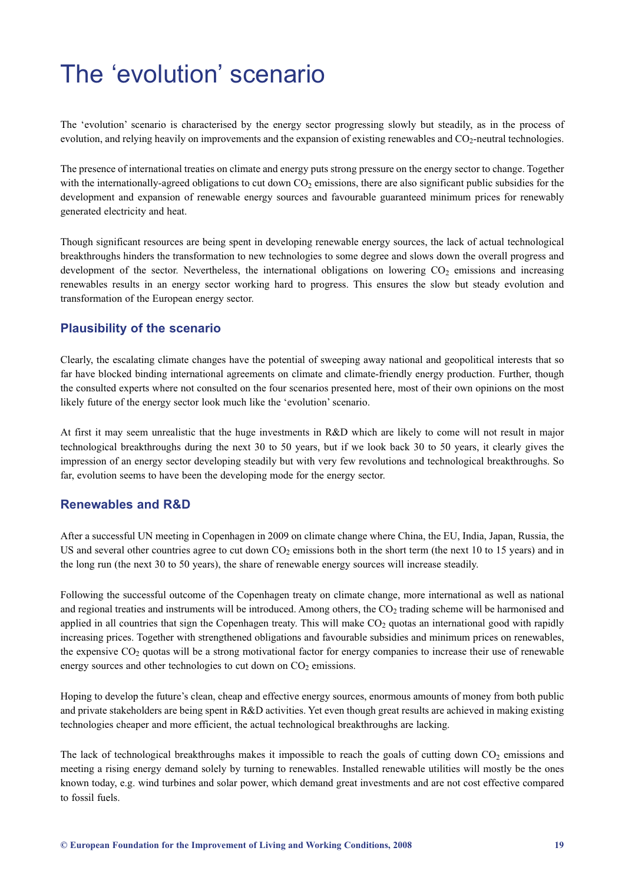# <span id="page-19-0"></span>The 'evolution' scenario

The 'evolution' scenario is characterised by the energy sector progressing slowly but steadily, as in the process of evolution, and relying heavily on improvements and the expansion of existing renewables and  $CO<sub>2</sub>$ -neutral technologies.

The presence of international treaties on climate and energy puts strong pressure on the energy sector to change. Together with the internationally-agreed obligations to cut down  $CO<sub>2</sub>$  emissions, there are also significant public subsidies for the development and expansion of renewable energy sources and favourable guaranteed minimum prices for renewably generated electricity and heat.

Though significant resources are being spent in developing renewable energy sources, the lack of actual technological breakthroughs hinders the transformation to new technologies to some degree and slows down the overall progress and development of the sector. Nevertheless, the international obligations on lowering  $CO<sub>2</sub>$  emissions and increasing renewables results in an energy sector working hard to progress. This ensures the slow but steady evolution and transformation of the European energy sector.

### **Plausibility of the scenario**

Clearly, the escalating climate changes have the potential of sweeping away national and geopolitical interests that so far have blocked binding international agreements on climate and climate-friendly energy production. Further, though the consulted experts where not consulted on the four scenarios presented here, most of their own opinions on the most likely future of the energy sector look much like the 'evolution' scenario.

At first it may seem unrealistic that the huge investments in R&D which are likely to come will not result in major technological breakthroughs during the next 30 to 50 years, but if we look back 30 to 50 years, it clearly gives the impression of an energy sector developing steadily but with very few revolutions and technological breakthroughs. So far, evolution seems to have been the developing mode for the energy sector.

### **Renewables and R&D**

After a successful UN meeting in Copenhagen in 2009 on climate change where China, the EU, India, Japan, Russia, the US and several other countries agree to cut down  $CO<sub>2</sub>$  emissions both in the short term (the next 10 to 15 years) and in the long run (the next 30 to 50 years), the share of renewable energy sources will increase steadily.

Following the successful outcome of the Copenhagen treaty on climate change, more international as well as national and regional treaties and instruments will be introduced. Among others, the  $CO<sub>2</sub>$  trading scheme will be harmonised and applied in all countries that sign the Copenhagen treaty. This will make  $CO<sub>2</sub>$  quotas an international good with rapidly increasing prices. Together with strengthened obligations and favourable subsidies and minimum prices on renewables, the expensive  $CO<sub>2</sub>$  quotas will be a strong motivational factor for energy companies to increase their use of renewable energy sources and other technologies to cut down on  $CO<sub>2</sub>$  emissions.

Hoping to develop the future's clean, cheap and effective energy sources, enormous amounts of money from both public and private stakeholders are being spent in R&D activities. Yet even though great results are achieved in making existing technologies cheaper and more efficient, the actual technological breakthroughs are lacking.

The lack of technological breakthroughs makes it impossible to reach the goals of cutting down  $CO<sub>2</sub>$  emissions and meeting a rising energy demand solely by turning to renewables. Installed renewable utilities will mostly be the ones known today, e.g. wind turbines and solar power, which demand great investments and are not cost effective compared to fossil fuels.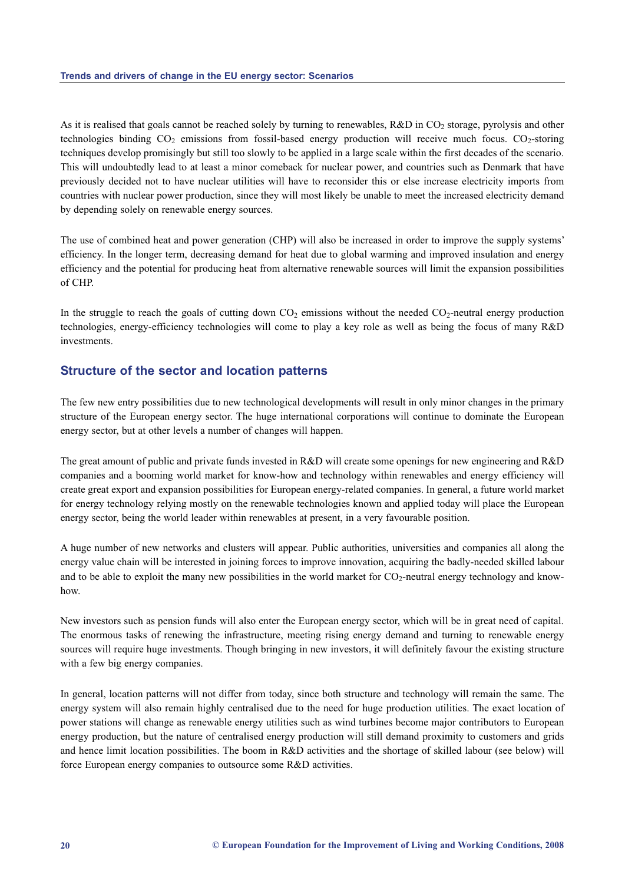As it is realised that goals cannot be reached solely by turning to renewables,  $R&D$  in  $CO<sub>2</sub>$  storage, pyrolysis and other technologies binding  $CO_2$  emissions from fossil-based energy production will receive much focus.  $CO_2$ -storing techniques develop promisingly but still too slowly to be applied in a large scale within the first decades of the scenario. This will undoubtedly lead to at least a minor comeback for nuclear power, and countries such as Denmark that have previously decided not to have nuclear utilities will have to reconsider this or else increase electricity imports from countries with nuclear power production, since they will most likely be unable to meet the increased electricity demand by depending solely on renewable energy sources.

The use of combined heat and power generation (CHP) will also be increased in order to improve the supply systems' efficiency. In the longer term, decreasing demand for heat due to global warming and improved insulation and energy efficiency and the potential for producing heat from alternative renewable sources will limit the expansion possibilities of CHP.

In the struggle to reach the goals of cutting down  $CO<sub>2</sub>$  emissions without the needed  $CO<sub>2</sub>$ -neutral energy production technologies, energy-efficiency technologies will come to play a key role as well as being the focus of many R&D investments.

#### **Structure of the sector and location patterns**

The few new entry possibilities due to new technological developments will result in only minor changes in the primary structure of the European energy sector. The huge international corporations will continue to dominate the European energy sector, but at other levels a number of changes will happen.

The great amount of public and private funds invested in R&D will create some openings for new engineering and R&D companies and a booming world market for know-how and technology within renewables and energy efficiency will create great export and expansion possibilities for European energy-related companies. In general, a future world market for energy technology relying mostly on the renewable technologies known and applied today will place the European energy sector, being the world leader within renewables at present, in a very favourable position.

A huge number of new networks and clusters will appear. Public authorities, universities and companies all along the energy value chain will be interested in joining forces to improve innovation, acquiring the badly-needed skilled labour and to be able to exploit the many new possibilities in the world market for  $CO<sub>2</sub>$ -neutral energy technology and knowhow.

New investors such as pension funds will also enter the European energy sector, which will be in great need of capital. The enormous tasks of renewing the infrastructure, meeting rising energy demand and turning to renewable energy sources will require huge investments. Though bringing in new investors, it will definitely favour the existing structure with a few big energy companies.

In general, location patterns will not differ from today, since both structure and technology will remain the same. The energy system will also remain highly centralised due to the need for huge production utilities. The exact location of power stations will change as renewable energy utilities such as wind turbines become major contributors to European energy production, but the nature of centralised energy production will still demand proximity to customers and grids and hence limit location possibilities. The boom in R&D activities and the shortage of skilled labour (see below) will force European energy companies to outsource some R&D activities.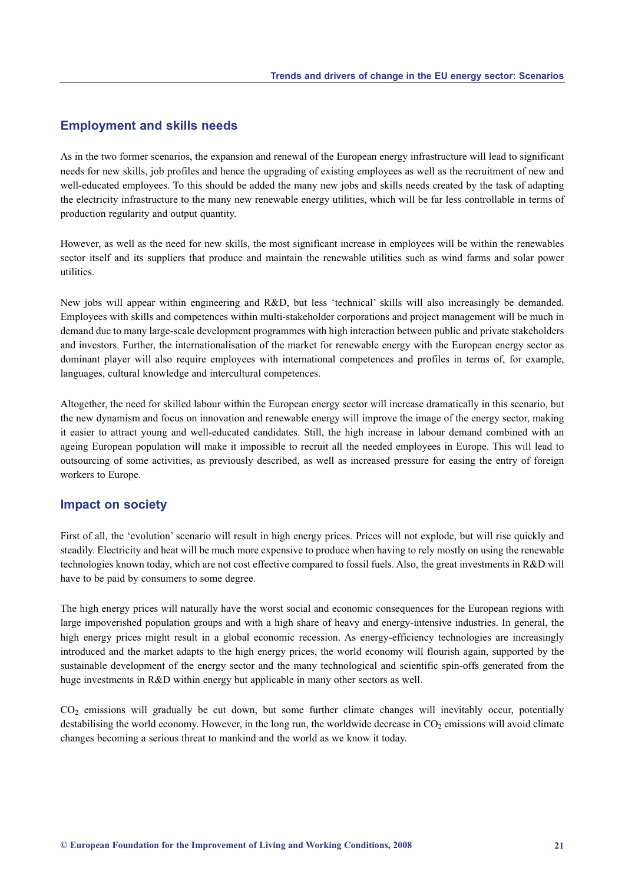#### **Employment and skills needs**

As in the two former scenarios, the expansion and renewal of the European energy infrastructure will lead to significant needs for new skills, job profiles and hence the upgrading of existing employees as well as the recruitment of new and well-educated employees. To this should be added the many new jobs and skills needs created by the task of adapting the electricity infrastructure to the many new renewable energy utilities, which will be far less controllable in terms of production regularity and output quantity.

However, as well as the need for new skills, the most significant increase in employees will be within the renewables sector itself and its suppliers that produce and maintain the renewable utilities such as wind farms and solar power utilities.

New jobs will appear within engineering and R&D, but less 'technical' skills will also increasingly be demanded. Employees with skills and competences within multi-stakeholder corporations and project management will be much in demand due to many large-scale development programmes with high interaction between public and private stakeholders and investors. Further, the internationalisation of the market for renewable energy with the European energy sector as dominant player will also require employees with international competences and profiles in terms of, for example, languages, cultural knowledge and intercultural competences.

Altogether, the need for skilled labour within the European energy sector will increase dramatically in this scenario, but the new dynamism and focus on innovation and renewable energy will improve the image of the energy sector, making it easier to attract young and well-educated candidates. Still, the high increase in labour demand combined with an ageing European population will make it impossible to recruit all the needed employees in Europe. This will lead to outsourcing of some activities, as previously described, as well as increased pressure for easing the entry of foreign workers to Europe.

#### **Impact on society**

First of all, the 'evolution' scenario will result in high energy prices. Prices will not explode, but will rise quickly and steadily. Electricity and heat will be much more expensive to produce when having to rely mostly on using the renewable technologies known today, which are not cost effective compared to fossil fuels. Also, the great investments in R&D will have to be paid by consumers to some degree.

The high energy prices will naturally have the worst social and economic consequences for the European regions with large impoverished population groups and with a high share of heavy and energy-intensive industries. In general, the high energy prices might result in a global economic recession. As energy-efficiency technologies are increasingly introduced and the market adapts to the high energy prices, the world economy will flourish again, supported by the sustainable development of the energy sector and the many technological and scientific spin-offs generated from the huge investments in R&D within energy but applicable in many other sectors as well.

 $CO<sub>2</sub>$  emissions will gradually be cut down, but some further climate changes will inevitably occur, potentially destabilising the world economy. However, in the long run, the worldwide decrease in  $CO<sub>2</sub>$  emissions will avoid climate changes becoming a serious threat to mankind and the world as we know it today.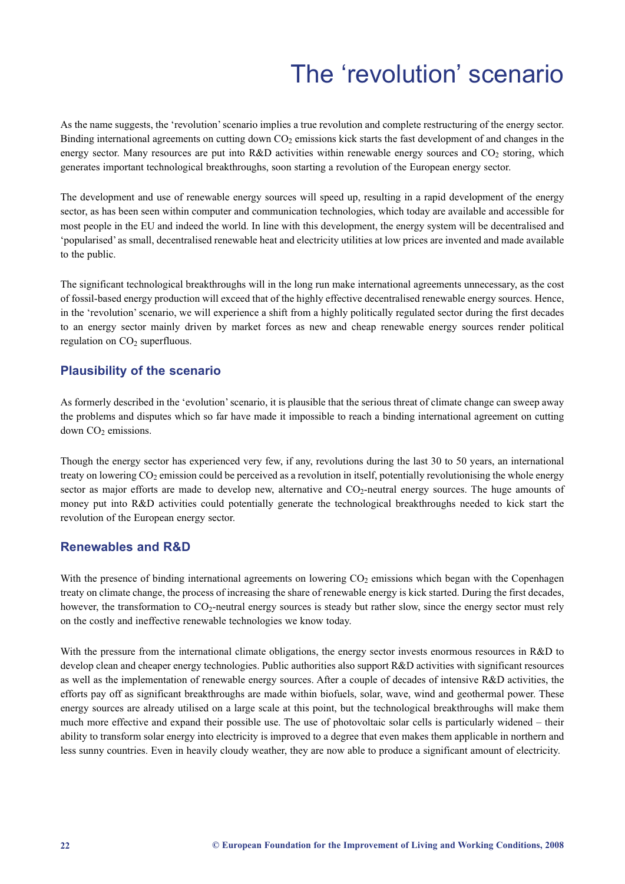# The 'revolution' scenario

As the name suggests, the 'revolution' scenario implies a true revolution and complete restructuring of the energy sector. Binding international agreements on cutting down CO<sub>2</sub> emissions kick starts the fast development of and changes in the energy sector. Many resources are put into R&D activities within renewable energy sources and  $CO<sub>2</sub>$  storing, which generates important technological breakthroughs, soon starting a revolution of the European energy sector.

The development and use of renewable energy sources will speed up, resulting in a rapid development of the energy sector, as has been seen within computer and communication technologies, which today are available and accessible for most people in the EU and indeed the world. In line with this development, the energy system will be decentralised and 'popularised' as small, decentralised renewable heat and electricity utilities at low prices are invented and made available to the public.

The significant technological breakthroughs will in the long run make international agreements unnecessary, as the cost of fossil-based energy production will exceed that of the highly effective decentralised renewable energy sources. Hence, in the 'revolution' scenario, we will experience a shift from a highly politically regulated sector during the first decades to an energy sector mainly driven by market forces as new and cheap renewable energy sources render political regulation on CO<sub>2</sub> superfluous.

### **Plausibility of the scenario**

As formerly described in the 'evolution' scenario, it is plausible that the serious threat of climate change can sweep away the problems and disputes which so far have made it impossible to reach a binding international agreement on cutting down CO<sub>2</sub> emissions.

Though the energy sector has experienced very few, if any, revolutions during the last 30 to 50 years, an international treaty on lowering  $CO<sub>2</sub>$  emission could be perceived as a revolution in itself, potentially revolutionising the whole energy sector as major efforts are made to develop new, alternative and CO<sub>2</sub>-neutral energy sources. The huge amounts of money put into R&D activities could potentially generate the technological breakthroughs needed to kick start the revolution of the European energy sector.

### **Renewables and R&D**

With the presence of binding international agreements on lowering  $CO<sub>2</sub>$  emissions which began with the Copenhagen treaty on climate change, the process of increasing the share of renewable energy is kick started. During the first decades, however, the transformation to  $CO<sub>2</sub>$ -neutral energy sources is steady but rather slow, since the energy sector must rely on the costly and ineffective renewable technologies we know today.

With the pressure from the international climate obligations, the energy sector invests enormous resources in R&D to develop clean and cheaper energy technologies. Public authorities also support R&D activities with significant resources as well as the implementation of renewable energy sources. After a couple of decades of intensive R&D activities, the efforts pay off as significant breakthroughs are made within biofuels, solar, wave, wind and geothermal power. These energy sources are already utilised on a large scale at this point, but the technological breakthroughs will make them much more effective and expand their possible use. The use of photovoltaic solar cells is particularly widened – their ability to transform solar energy into electricity is improved to a degree that even makes them applicable in northern and less sunny countries. Even in heavily cloudy weather, they are now able to produce a significant amount of electricity.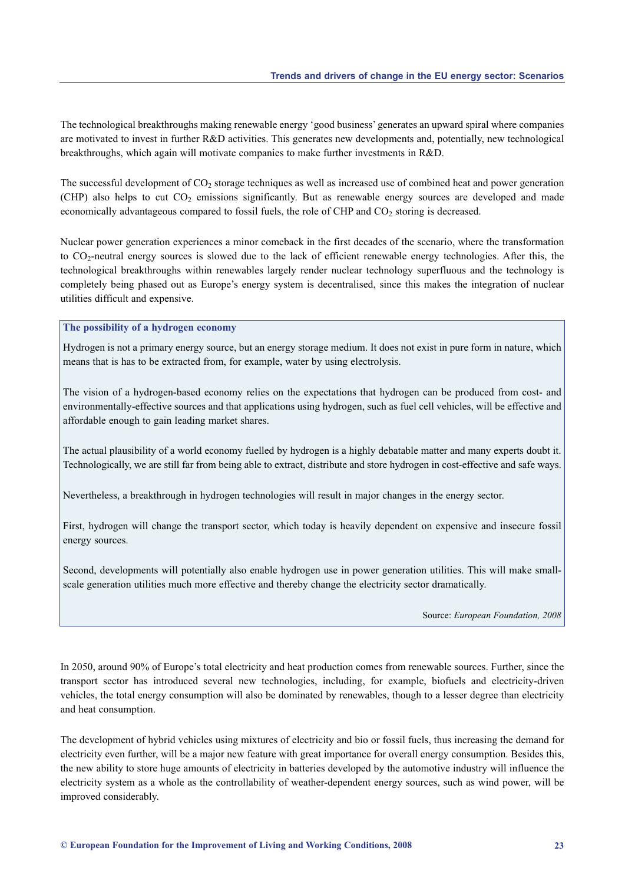The technological breakthroughs making renewable energy 'good business' generates an upward spiral where companies are motivated to invest in further R&D activities. This generates new developments and, potentially, new technological breakthroughs, which again will motivate companies to make further investments in R&D.

The successful development of  $CO<sub>2</sub>$  storage techniques as well as increased use of combined heat and power generation (CHP) also helps to cut  $CO<sub>2</sub>$  emissions significantly. But as renewable energy sources are developed and made economically advantageous compared to fossil fuels, the role of CHP and  $CO<sub>2</sub>$  storing is decreased.

Nuclear power generation experiences a minor comeback in the first decades of the scenario, where the transformation to  $CO<sub>2</sub>$ -neutral energy sources is slowed due to the lack of efficient renewable energy technologies. After this, the technological breakthroughs within renewables largely render nuclear technology superfluous and the technology is completely being phased out as Europe's energy system is decentralised, since this makes the integration of nuclear utilities difficult and expensive.

#### **The possibility of a hydrogen economy**

Hydrogen is not a primary energy source, but an energy storage medium. It does not exist in pure form in nature, which means that is has to be extracted from, for example, water by using electrolysis.

The vision of a hydrogen-based economy relies on the expectations that hydrogen can be produced from cost- and environmentally-effective sources and that applications using hydrogen, such as fuel cell vehicles, will be effective and affordable enough to gain leading market shares.

The actual plausibility of a world economy fuelled by hydrogen is a highly debatable matter and many experts doubt it. Technologically, we are still far from being able to extract, distribute and store hydrogen in cost-effective and safe ways.

Nevertheless, a breakthrough in hydrogen technologies will result in major changes in the energy sector.

First, hydrogen will change the transport sector, which today is heavily dependent on expensive and insecure fossil energy sources.

Second, developments will potentially also enable hydrogen use in power generation utilities. This will make smallscale generation utilities much more effective and thereby change the electricity sector dramatically.

Source: *European Foundation, 2008*

In 2050, around 90% of Europe's total electricity and heat production comes from renewable sources. Further, since the transport sector has introduced several new technologies, including, for example, biofuels and electricity-driven vehicles, the total energy consumption will also be dominated by renewables, though to a lesser degree than electricity and heat consumption.

The development of hybrid vehicles using mixtures of electricity and bio or fossil fuels, thus increasing the demand for electricity even further, will be a major new feature with great importance for overall energy consumption. Besides this, the new ability to store huge amounts of electricity in batteries developed by the automotive industry will influence the electricity system as a whole as the controllability of weather-dependent energy sources, such as wind power, will be improved considerably.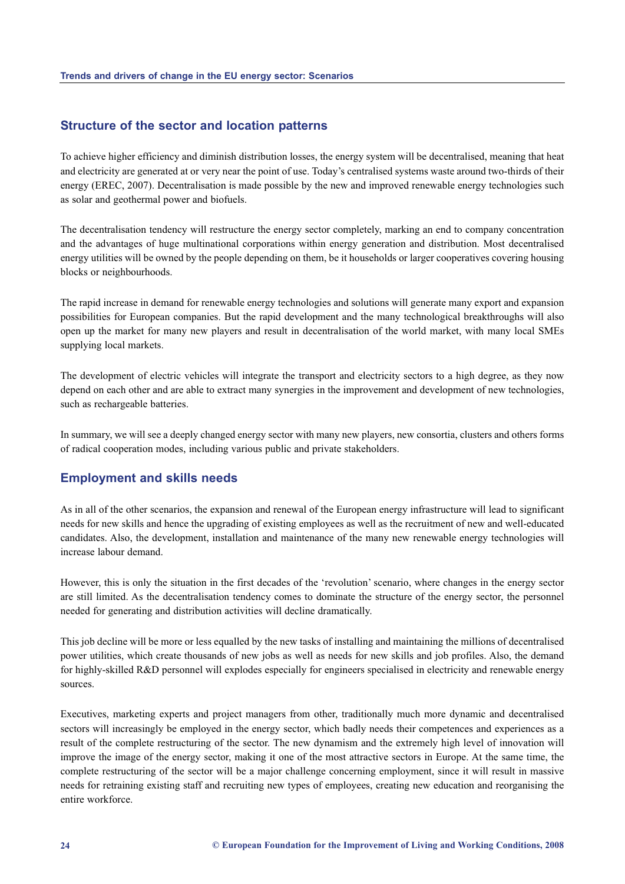#### **Structure of the sector and location patterns**

To achieve higher efficiency and diminish distribution losses, the energy system will be decentralised, meaning that heat and electricity are generated at or very near the point of use. Today's centralised systems waste around two-thirds of their energy (EREC, 2007). Decentralisation is made possible by the new and improved renewable energy technologies such as solar and geothermal power and biofuels.

The decentralisation tendency will restructure the energy sector completely, marking an end to company concentration and the advantages of huge multinational corporations within energy generation and distribution. Most decentralised energy utilities will be owned by the people depending on them, be it households or larger cooperatives covering housing blocks or neighbourhoods.

The rapid increase in demand for renewable energy technologies and solutions will generate many export and expansion possibilities for European companies. But the rapid development and the many technological breakthroughs will also open up the market for many new players and result in decentralisation of the world market, with many local SMEs supplying local markets.

The development of electric vehicles will integrate the transport and electricity sectors to a high degree, as they now depend on each other and are able to extract many synergies in the improvement and development of new technologies, such as rechargeable batteries.

In summary, we will see a deeply changed energy sector with many new players, new consortia, clusters and others forms of radical cooperation modes, including various public and private stakeholders.

#### **Employment and skills needs**

As in all of the other scenarios, the expansion and renewal of the European energy infrastructure will lead to significant needs for new skills and hence the upgrading of existing employees as well as the recruitment of new and well-educated candidates. Also, the development, installation and maintenance of the many new renewable energy technologies will increase labour demand.

However, this is only the situation in the first decades of the 'revolution' scenario, where changes in the energy sector are still limited. As the decentralisation tendency comes to dominate the structure of the energy sector, the personnel needed for generating and distribution activities will decline dramatically.

This job decline will be more or less equalled by the new tasks of installing and maintaining the millions of decentralised power utilities, which create thousands of new jobs as well as needs for new skills and job profiles. Also, the demand for highly-skilled R&D personnel will explodes especially for engineers specialised in electricity and renewable energy sources.

Executives, marketing experts and project managers from other, traditionally much more dynamic and decentralised sectors will increasingly be employed in the energy sector, which badly needs their competences and experiences as a result of the complete restructuring of the sector. The new dynamism and the extremely high level of innovation will improve the image of the energy sector, making it one of the most attractive sectors in Europe. At the same time, the complete restructuring of the sector will be a major challenge concerning employment, since it will result in massive needs for retraining existing staff and recruiting new types of employees, creating new education and reorganising the entire workforce.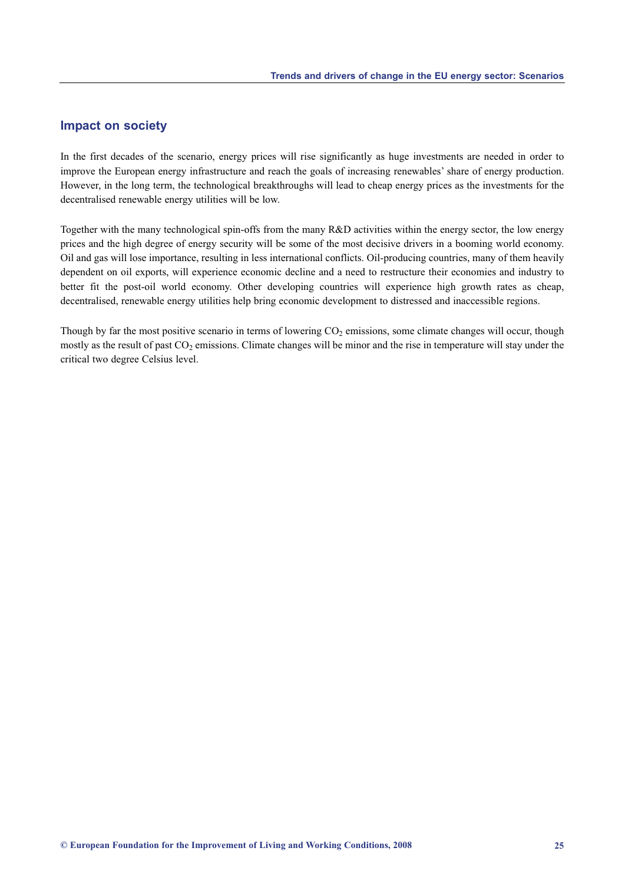#### **Impact on society**

In the first decades of the scenario, energy prices will rise significantly as huge investments are needed in order to improve the European energy infrastructure and reach the goals of increasing renewables' share of energy production. However, in the long term, the technological breakthroughs will lead to cheap energy prices as the investments for the decentralised renewable energy utilities will be low.

Together with the many technological spin-offs from the many R&D activities within the energy sector, the low energy prices and the high degree of energy security will be some of the most decisive drivers in a booming world economy. Oil and gas will lose importance, resulting in less international conflicts. Oil-producing countries, many of them heavily dependent on oil exports, will experience economic decline and a need to restructure their economies and industry to better fit the post-oil world economy. Other developing countries will experience high growth rates as cheap, decentralised, renewable energy utilities help bring economic development to distressed and inaccessible regions.

Though by far the most positive scenario in terms of lowering  $CO<sub>2</sub>$  emissions, some climate changes will occur, though mostly as the result of past  $CO<sub>2</sub>$  emissions. Climate changes will be minor and the rise in temperature will stay under the critical two degree Celsius level.